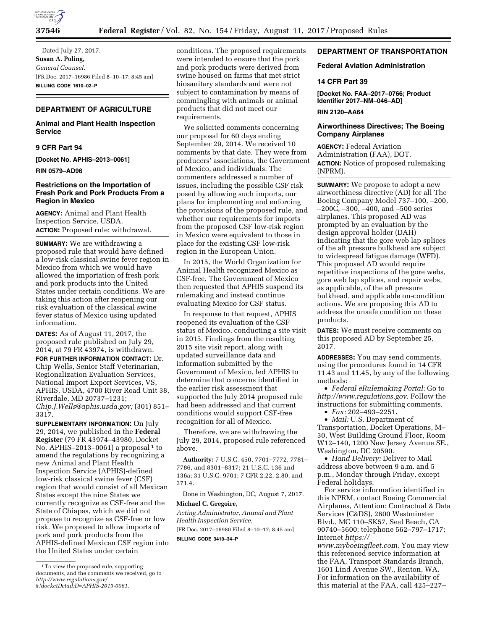

Dated July 27, 2017. **Susan A. Poling,**  *General Counsel.*  [FR Doc. 2017–16986 Filed 8–10–17; 8:45 am] **BILLING CODE 1610–02–P** 

# **DEPARTMENT OF AGRICULTURE**

# **Animal and Plant Health Inspection Service**

**9 CFR Part 94** 

**[Docket No. APHIS–2013–0061]** 

**RIN 0579–AD96** 

# **Restrictions on the Importation of Fresh Pork and Pork Products From a Region in Mexico**

**AGENCY:** Animal and Plant Health Inspection Service, USDA. **ACTION:** Proposed rule; withdrawal.

**SUMMARY:** We are withdrawing a proposed rule that would have defined a low-risk classical swine fever region in Mexico from which we would have allowed the importation of fresh pork and pork products into the United States under certain conditions. We are taking this action after reopening our risk evaluation of the classical swine fever status of Mexico using updated information.

**DATES:** As of August 11, 2017, the proposed rule published on July 29, 2014, at 79 FR 43974, is withdrawn.

**FOR FURTHER INFORMATION CONTACT:** Dr. Chip Wells, Senior Staff Veterinarian, Regionalization Evaluation Services, National Import Export Services, VS, APHIS, USDA, 4700 River Road Unit 38, Riverdale, MD 20737–1231; *[Chip.J.Wells@aphis.usda.gov;](mailto:Chip.J.Wells@aphis.usda.gov)* (301) 851– 3317.

**SUPPLEMENTARY INFORMATION:** On July 29, 2014, we published in the **Federal Register** (79 FR 43974–43980, Docket No. APHIS-2013-0061) a proposal  $1$  to amend the regulations by recognizing a new Animal and Plant Health Inspection Service (APHIS)-defined low-risk classical swine fever (CSF) region that would consist of all Mexican States except the nine States we currently recognize as CSF-free and the State of Chiapas, which we did not propose to recognize as CSF-free or low risk. We proposed to allow imports of pork and pork products from the APHIS-defined Mexican CSF region into the United States under certain

conditions. The proposed requirements were intended to ensure that the pork and pork products were derived from swine housed on farms that met strict biosanitary standards and were not subject to contamination by means of commingling with animals or animal products that did not meet our requirements.

We solicited comments concerning our proposal for 60 days ending September 29, 2014. We received 10 comments by that date. They were from producers' associations, the Government of Mexico, and individuals. The commenters addressed a number of issues, including the possible CSF risk posed by allowing such imports, our plans for implementing and enforcing the provisions of the proposed rule, and whether our requirements for imports from the proposed CSF low-risk region in Mexico were equivalent to those in place for the existing CSF low-risk region in the European Union.

In 2015, the World Organization for Animal Health recognized Mexico as CSF-free. The Government of Mexico then requested that APHIS suspend its rulemaking and instead continue evaluating Mexico for CSF status.

In response to that request, APHIS reopened its evaluation of the CSF status of Mexico, conducting a site visit in 2015. Findings from the resulting 2015 site visit report, along with updated surveillance data and information submitted by the Government of Mexico, led APHIS to determine that concerns identified in the earlier risk assessment that supported the July 2014 proposed rule had been addressed and that current conditions would support CSF-free recognition for all of Mexico.

Therefore, we are withdrawing the July 29, 2014, proposed rule referenced above.

**Authority:** 7 U.S.C. 450, 7701–7772, 7781– 7786, and 8301–8317; 21 U.S.C. 136 and 136a; 31 U.S.C. 9701; 7 CFR 2.22, 2.80, and 371.4.

Done in Washington, DC, August 7, 2017.

# **Michael C. Gregoire,**

*Acting Administrator, Animal and Plant Health Inspection Service.* 

[FR Doc. 2017–16980 Filed 8–10–17; 8:45 am] **BILLING CODE 3410–34–P** 

# **DEPARTMENT OF TRANSPORTATION**

### **Federal Aviation Administration**

#### **14 CFR Part 39**

**[Docket No. FAA–2017–0766; Product Identifier 2017–NM–046–AD]** 

### **RIN 2120–AA64**

# **Airworthiness Directives; The Boeing Company Airplanes**

**AGENCY:** Federal Aviation Administration (FAA), DOT. **ACTION:** Notice of proposed rulemaking (NPRM).

**SUMMARY:** We propose to adopt a new airworthiness directive (AD) for all The Boeing Company Model 737–100, –200, –200C, –300, –400, and –500 series airplanes. This proposed AD was prompted by an evaluation by the design approval holder (DAH) indicating that the gore web lap splices of the aft pressure bulkhead are subject to widespread fatigue damage (WFD). This proposed AD would require repetitive inspections of the gore webs, gore web lap splices, and repair webs, as applicable, of the aft pressure bulkhead, and applicable on-condition actions. We are proposing this AD to address the unsafe condition on these products.

**DATES:** We must receive comments on this proposed AD by September 25, 2017.

**ADDRESSES:** You may send comments, using the procedures found in 14 CFR 11.43 and 11.45, by any of the following methods:

• *Federal eRulemaking Portal:* Go to *[http://www.regulations.gov.](http://www.regulations.gov)* Follow the instructions for submitting comments.

• *Fax:* 202–493–2251.

• *Mail:* U.S. Department of Transportation, Docket Operations, M– 30, West Building Ground Floor, Room W12–140, 1200 New Jersey Avenue SE., Washington, DC 20590.

• *Hand Delivery:* Deliver to Mail address above between 9 a.m. and 5 p.m., Monday through Friday, except Federal holidays.

For service information identified in this NPRM, contact Boeing Commercial Airplanes, Attention: Contractual & Data Services (C&DS), 2600 Westminster Blvd., MC 110–SK57, Seal Beach, CA 90740–5600; telephone 562–797–1717; Internet *[https://](https://www.myboeingfleet.com)*

*[www.myboeingfleet.com.](https://www.myboeingfleet.com)* You may view this referenced service information at the FAA, Transport Standards Branch, 1601 Lind Avenue SW., Renton, WA. For information on the availability of this material at the FAA, call 425–227–

<sup>1</sup>To view the proposed rule, supporting documents, and the comments we received, go to *[http://www.regulations.gov/](http://www.regulations.gov/#!docketDetail;D=APHIS-2013-0061) [#!docketDetail;D=APHIS-2013-0061.](http://www.regulations.gov/#!docketDetail;D=APHIS-2013-0061)*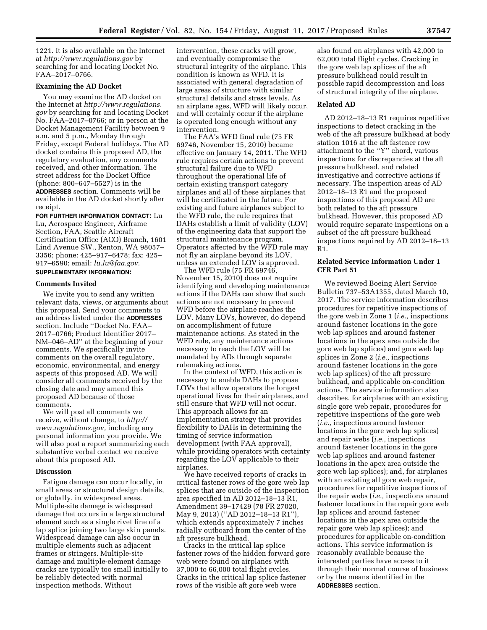1221. It is also available on the Internet at *<http://www.regulations.gov>* by searching for and locating Docket No. FAA–2017–0766.

#### **Examining the AD Docket**

You may examine the AD docket on the Internet at *[http://www.regulations.](http://www.regulations.gov) [gov](http://www.regulations.gov)* by searching for and locating Docket No. FAA–2017–0766; or in person at the Docket Management Facility between 9 a.m. and 5 p.m., Monday through Friday, except Federal holidays. The AD docket contains this proposed AD, the regulatory evaluation, any comments received, and other information. The street address for the Docket Office (phone: 800–647–5527) is in the **ADDRESSES** section. Comments will be available in the AD docket shortly after receipt.

**FOR FURTHER INFORMATION CONTACT:** Lu Lu, Aerospace Engineer, Airframe Section, FAA, Seattle Aircraft Certification Office (ACO) Branch, 1601 Lind Avenue SW., Renton, WA 98057– 3356; phone: 425–917–6478; fax: 425– 917–6590; email: *[lu.lu@faa.gov.](mailto:lu.lu@faa.gov)*  **SUPPLEMENTARY INFORMATION:** 

#### **Comments Invited**

We invite you to send any written relevant data, views, or arguments about this proposal. Send your comments to an address listed under the **ADDRESSES** section. Include ''Docket No. FAA– 2017–0766; Product Identifier 2017– NM–046–AD'' at the beginning of your comments. We specifically invite comments on the overall regulatory, economic, environmental, and energy aspects of this proposed AD. We will consider all comments received by the closing date and may amend this proposed AD because of those comments.

We will post all comments we receive, without change, to *[http://](http://www.regulations.gov) [www.regulations.gov,](http://www.regulations.gov)* including any personal information you provide. We will also post a report summarizing each substantive verbal contact we receive about this proposed AD.

#### **Discussion**

Fatigue damage can occur locally, in small areas or structural design details, or globally, in widespread areas. Multiple-site damage is widespread damage that occurs in a large structural element such as a single rivet line of a lap splice joining two large skin panels. Widespread damage can also occur in multiple elements such as adjacent frames or stringers. Multiple-site damage and multiple-element damage cracks are typically too small initially to be reliably detected with normal inspection methods. Without

intervention, these cracks will grow, and eventually compromise the structural integrity of the airplane. This condition is known as WFD. It is associated with general degradation of large areas of structure with similar structural details and stress levels. As an airplane ages, WFD will likely occur, and will certainly occur if the airplane is operated long enough without any intervention.

The FAA's WFD final rule (75 FR 69746, November 15, 2010) became effective on January 14, 2011. The WFD rule requires certain actions to prevent structural failure due to WFD throughout the operational life of certain existing transport category airplanes and all of these airplanes that will be certificated in the future. For existing and future airplanes subject to the WFD rule, the rule requires that DAHs establish a limit of validity (LOV) of the engineering data that support the structural maintenance program. Operators affected by the WFD rule may not fly an airplane beyond its LOV, unless an extended LOV is approved.

The WFD rule (75 FR 69746, November 15, 2010) does not require identifying and developing maintenance actions if the DAHs can show that such actions are not necessary to prevent WFD before the airplane reaches the LOV. Many LOVs, however, do depend on accomplishment of future maintenance actions. As stated in the WFD rule, any maintenance actions necessary to reach the LOV will be mandated by ADs through separate rulemaking actions.

In the context of WFD, this action is necessary to enable DAHs to propose LOVs that allow operators the longest operational lives for their airplanes, and still ensure that WFD will not occur. This approach allows for an implementation strategy that provides flexibility to DAHs in determining the timing of service information development (with FAA approval), while providing operators with certainty regarding the LOV applicable to their airplanes.

We have received reports of cracks in critical fastener rows of the gore web lap splices that are outside of the inspection area specified in AD 2012–18–13 R1, Amendment 39–17429 (78 FR 27020, May 9, 2013) (''AD 2012–18–13 R1''), which extends approximately 7 inches radially outboard from the center of the aft pressure bulkhead.

Cracks in the critical lap splice fastener rows of the hidden forward gore web were found on airplanes with 37,000 to 66,000 total flight cycles. Cracks in the critical lap splice fastener rows of the visible aft gore web were

also found on airplanes with 42,000 to 62,000 total flight cycles. Cracking in the gore web lap splices of the aft pressure bulkhead could result in possible rapid decompression and loss of structural integrity of the airplane.

### **Related AD**

AD 2012–18–13 R1 requires repetitive inspections to detect cracking in the web of the aft pressure bulkhead at body station 1016 at the aft fastener row attachment to the ''Y'' chord, various inspections for discrepancies at the aft pressure bulkhead, and related investigative and corrective actions if necessary. The inspection areas of AD 2012–18–13 R1 and the proposed inspections of this proposed AD are both related to the aft pressure bulkhead. However, this proposed AD would require separate inspections on a subset of the aft pressure bulkhead inspections required by AD 2012–18–13 R1.

## **Related Service Information Under 1 CFR Part 51**

We reviewed Boeing Alert Service Bulletin 737–53A1355, dated March 10, 2017. The service information describes procedures for repetitive inspections of the gore web in Zone 1 (*i.e.,* inspections around fastener locations in the gore web lap splices and around fastener locations in the apex area outside the gore web lap splices) and gore web lap splices in Zone 2 (*i.e.,* inspections around fastener locations in the gore web lap splices) of the aft pressure bulkhead, and applicable on-condition actions. The service information also describes, for airplanes with an existing single gore web repair, procedures for repetitive inspections of the gore web (*i.e.,* inspections around fastener locations in the gore web lap splices) and repair webs (*i.e.,* inspections around fastener locations in the gore web lap splices and around fastener locations in the apex area outside the gore web lap splices); and, for airplanes with an existing all gore web repair, procedures for repetitive inspections of the repair webs (*i.e.,* inspections around fastener locations in the repair gore web lap splices and around fastener locations in the apex area outside the repair gore web lap splices); and procedures for applicable on-condition actions. This service information is reasonably available because the interested parties have access to it through their normal course of business or by the means identified in the **ADDRESSES** section.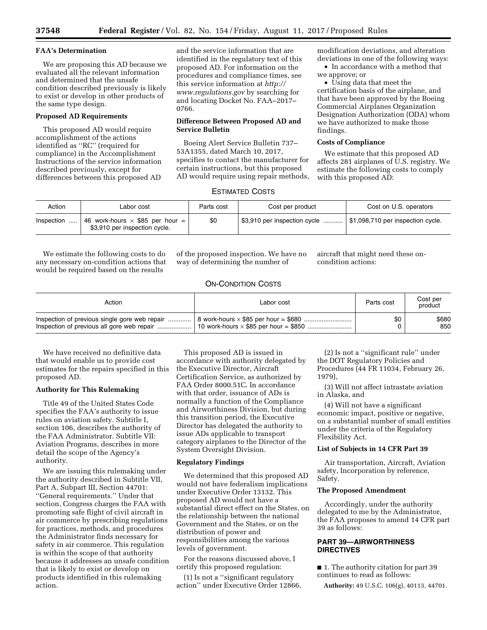# **FAA's Determination**

We are proposing this AD because we evaluated all the relevant information and determined that the unsafe condition described previously is likely to exist or develop in other products of the same type design.

# **Proposed AD Requirements**

This proposed AD would require accomplishment of the actions identified as ''RC'' (required for compliance) in the Accomplishment Instructions of the service information described previously, except for differences between this proposed AD

and the service information that are identified in the regulatory text of this proposed AD. For information on the procedures and compliance times, see this service information at *[http://](http://www.regulations.gov) [www.regulations.gov](http://www.regulations.gov)* by searching for and locating Docket No. FAA–2017– 0766.

## **Difference Between Proposed AD and Service Bulletin**

Boeing Alert Service Bulletin 737– 53A1355, dated March 10, 2017, specifies to contact the manufacturer for certain instructions, but this proposed AD would require using repair methods, modification deviations, and alteration deviations in one of the following ways:

• In accordance with a method that we approve; or

• Using data that meet the certification basis of the airplane, and that have been approved by the Boeing Commercial Airplanes Organization Designation Authorization (ODA) whom we have authorized to make those findings.

## **Costs of Compliance**

We estimate that this proposed AD affects 281 airplanes of U.S. registry. We estimate the following costs to comply with this proposed AD:

# ESTIMATED COSTS

| Action             | Labor cost                                                                                          | Parts cost | Cost per product             | Cost on U.S. operators            |
|--------------------|-----------------------------------------------------------------------------------------------------|------------|------------------------------|-----------------------------------|
| Inspection $\dots$ | $\frac{1}{2}$ 46 work-hours $\times$ \$85 per hour = $\frac{1}{2}$<br>\$3,910 per inspection cycle. | \$0        | \$3,910 per inspection cycle | \$1,098,710 per inspection cycle. |

We estimate the following costs to do any necessary on-condition actions that would be required based on the results

of the proposed inspection. We have no way of determining the number of

aircraft that might need these oncondition actions:

# ON-CONDITION COSTS

| Action                                        | Labor cost | Parts cost | Cost per<br>product |
|-----------------------------------------------|------------|------------|---------------------|
| Inspection of previous single gore web repair |            | \$0        | \$680               |
|                                               |            |            | 850                 |

We have received no definitive data that would enable us to provide cost estimates for the repairs specified in this proposed AD.

### **Authority for This Rulemaking**

Title 49 of the United States Code specifies the FAA's authority to issue rules on aviation safety. Subtitle I, section 106, describes the authority of the FAA Administrator. Subtitle VII: Aviation Programs, describes in more detail the scope of the Agency's authority.

We are issuing this rulemaking under the authority described in Subtitle VII, Part A, Subpart III, Section 44701: ''General requirements.'' Under that section, Congress charges the FAA with promoting safe flight of civil aircraft in air commerce by prescribing regulations for practices, methods, and procedures the Administrator finds necessary for safety in air commerce. This regulation is within the scope of that authority because it addresses an unsafe condition that is likely to exist or develop on products identified in this rulemaking action.

This proposed AD is issued in accordance with authority delegated by the Executive Director, Aircraft Certification Service, as authorized by FAA Order 8000.51C. In accordance with that order, issuance of ADs is normally a function of the Compliance and Airworthiness Division, but during this transition period, the Executive Director has delegated the authority to issue ADs applicable to transport category airplanes to the Director of the System Oversight Division.

### **Regulatory Findings**

We determined that this proposed AD would not have federalism implications under Executive Order 13132. This proposed AD would not have a substantial direct effect on the States, on the relationship between the national Government and the States, or on the distribution of power and responsibilities among the various levels of government.

For the reasons discussed above, I certify this proposed regulation:

(1) Is not a ''significant regulatory action'' under Executive Order 12866,

(2) Is not a ''significant rule'' under the DOT Regulatory Policies and Procedures (44 FR 11034, February 26, 1979),

(3) Will not affect intrastate aviation in Alaska, and

(4) Will not have a significant economic impact, positive or negative, on a substantial number of small entities under the criteria of the Regulatory Flexibility Act.

## **List of Subjects in 14 CFR Part 39**

Air transportation, Aircraft, Aviation safety, Incorporation by reference, Safety.

### **The Proposed Amendment**

Accordingly, under the authority delegated to me by the Administrator, the FAA proposes to amend 14 CFR part 39 as follows:

# **PART 39—AIRWORTHINESS DIRECTIVES**

■ 1. The authority citation for part 39 continues to read as follows:

**Authority:** 49 U.S.C. 106(g), 40113, 44701.